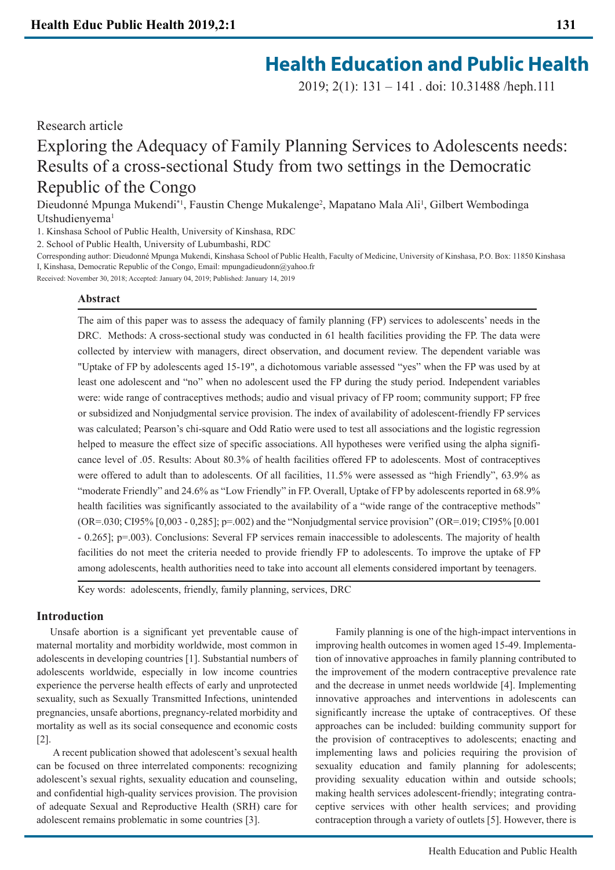2019; 2(1): 131 – 141 . doi: 10.31488 /heph.111

Research article

Exploring the Adequacy of Family Planning Services to Adolescents needs: Results of a cross-sectional Study from two settings in the Democratic Republic of the Congo

Dieudonné Mpunga Mukendi<sup>\*1</sup>, Faustin Chenge Mukalenge<sup>2</sup>, Mapatano Mala Ali<sup>1</sup>, Gilbert Wembodinga Utshudienyema<sup>1</sup>

1. Kinshasa School of Public Health, University of Kinshasa, RDC

2. School of Public Health, University of Lubumbashi, RDC

Corresponding author: Dieudonné Mpunga Mukendi, Kinshasa School of Public Health, Faculty of Medicine, University of Kinshasa, P.O. Box: 11850 Kinshasa I, Kinshasa, Democratic Republic of the Congo, Email: mpungadieudonn@yahoo.fr

Received: November 30, 2018; Accepted: January 04, 2019; Published: January 14, 2019

# **Abstract**

The aim of this paper was to assess the adequacy of family planning (FP) services to adolescents' needs in the DRC. Methods: A cross-sectional study was conducted in 61 health facilities providing the FP. The data were collected by interview with managers, direct observation, and document review. The dependent variable was "Uptake of FP by adolescents aged 15-19", a dichotomous variable assessed "yes" when the FP was used by at least one adolescent and "no" when no adolescent used the FP during the study period. Independent variables were: wide range of contraceptives methods; audio and visual privacy of FP room; community support; FP free or subsidized and Nonjudgmental service provision. The index of availability of adolescent-friendly FP services was calculated; Pearson's chi-square and Odd Ratio were used to test all associations and the logistic regression helped to measure the effect size of specific associations. All hypotheses were verified using the alpha significance level of .05. Results: About 80.3% of health facilities offered FP to adolescents. Most of contraceptives were offered to adult than to adolescents. Of all facilities, 11.5% were assessed as "high Friendly", 63.9% as "moderate Friendly" and 24.6% as "Low Friendly" in FP. Overall, Uptake of FP by adolescents reported in 68.9% health facilities was significantly associated to the availability of a "wide range of the contraceptive methods" (OR=.030; CI95% [0,003 - 0,285]; p=.002) and the "Nonjudgmental service provision" (OR=.019; CI95% [0.001 - 0.265]; p=.003). Conclusions: Several FP services remain inaccessible to adolescents. The majority of health facilities do not meet the criteria needed to provide friendly FP to adolescents. To improve the uptake of FP among adolescents, health authorities need to take into account all elements considered important by teenagers.

Key words: adolescents, friendly, family planning, services, DRC

# **Introduction**

 Unsafe abortion is a significant yet preventable cause of maternal mortality and morbidity worldwide, most common in adolescents in developing countries [1]. Substantial numbers of adolescents worldwide, especially in low income countries experience the perverse health effects of early and unprotected sexuality, such as Sexually Transmitted Infections, unintended pregnancies, unsafe abortions, pregnancy-related morbidity and mortality as well as its social consequence and economic costs [2].

 A recent publication showed that adolescent's sexual health can be focused on three interrelated components: recognizing adolescent's sexual rights, sexuality education and counseling, and confidential high-quality services provision. The provision of adequate Sexual and Reproductive Health (SRH) care for adolescent remains problematic in some countries [3].

 Family planning is one of the high-impact interventions in improving health outcomes in women aged 15-49. Implementation of innovative approaches in family planning contributed to the improvement of the modern contraceptive prevalence rate and the decrease in unmet needs worldwide [4]. Implementing innovative approaches and interventions in adolescents can significantly increase the uptake of contraceptives. Of these approaches can be included: building community support for the provision of contraceptives to adolescents; enacting and implementing laws and policies requiring the provision of sexuality education and family planning for adolescents; providing sexuality education within and outside schools; making health services adolescent-friendly; integrating contraceptive services with other health services; and providing contraception through a variety of outlets [5]. However, there is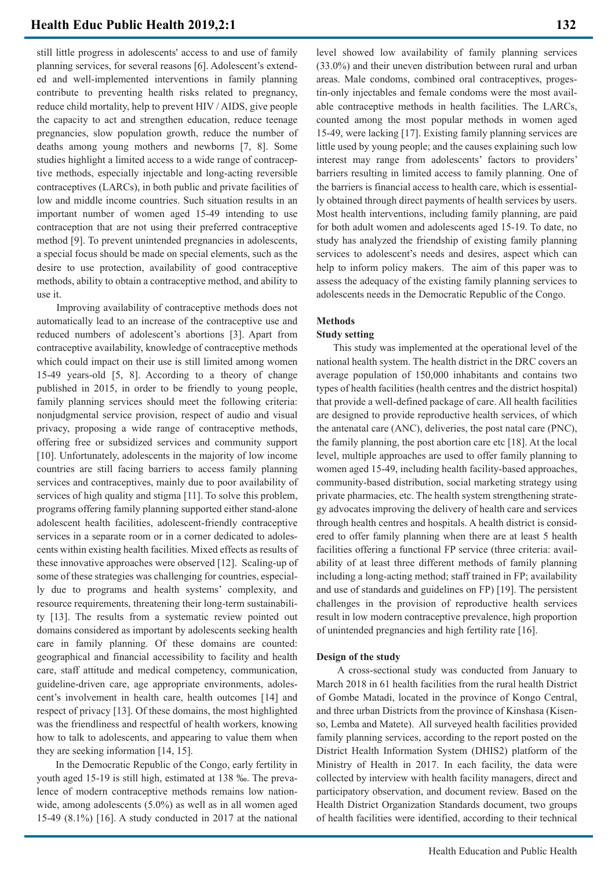still little progress in adolescents' access to and use of family planning services, for several reasons [6]. Adolescent's extended and well-implemented interventions in family planning contribute to preventing health risks related to pregnancy, reduce child mortality, help to prevent HIV / AIDS, give people the capacity to act and strengthen education, reduce teenage pregnancies, slow population growth, reduce the number of deaths among young mothers and newborns [7, 8]. Some studies highlight a limited access to a wide range of contraceptive methods, especially injectable and long-acting reversible contraceptives (LARCs), in both public and private facilities of low and middle income countries. Such situation results in an important number of women aged 15-49 intending to use contraception that are not using their preferred contraceptive method [9]. To prevent unintended pregnancies in adolescents, a special focus should be made on special elements, such as the desire to use protection, availability of good contraceptive methods, ability to obtain a contraceptive method, and ability to use it.

 Improving availability of contraceptive methods does not automatically lead to an increase of the contraceptive use and reduced numbers of adolescent's abortions [3]. Apart from contraceptive availability, knowledge of contraceptive methods which could impact on their use is still limited among women 15-49 years-old [5, 8]. According to a theory of change published in 2015, in order to be friendly to young people, family planning services should meet the following criteria: nonjudgmental service provision, respect of audio and visual privacy, proposing a wide range of contraceptive methods, offering free or subsidized services and community support [10]. Unfortunately, adolescents in the majority of low income countries are still facing barriers to access family planning services and contraceptives, mainly due to poor availability of services of high quality and stigma [11]. To solve this problem, programs offering family planning supported either stand-alone adolescent health facilities, adolescent-friendly contraceptive services in a separate room or in a corner dedicated to adolescents within existing health facilities. Mixed effects as results of these innovative approaches were observed [12]. Scaling-up of some of these strategies was challenging for countries, especially due to programs and health systems' complexity, and resource requirements, threatening their long-term sustainability [13]. The results from a systematic review pointed out domains considered as important by adolescents seeking health care in family planning. Of these domains are counted: geographical and financial accessibility to facility and health care, staff attitude and medical competency, communication, guideline-driven care, age appropriate environments, adolescent's involvement in health care, health outcomes [14] and respect of privacy [13]. Of these domains, the most highlighted was the friendliness and respectful of health workers, knowing how to talk to adolescents, and appearing to value them when they are seeking information [14, 15].

 In the Democratic Republic of the Congo, early fertility in youth aged 15-19 is still high, estimated at 138 ‰. The prevalence of modern contraceptive methods remains low nationwide, among adolescents (5.0%) as well as in all women aged 15-49 (8.1%) [16]. A study conducted in 2017 at the national

level showed low availability of family planning services (33.0%) and their uneven distribution between rural and urban areas. Male condoms, combined oral contraceptives, progestin-only injectables and female condoms were the most available contraceptive methods in health facilities. The LARCs, counted among the most popular methods in women aged 15-49, were lacking [17]. Existing family planning services are little used by young people; and the causes explaining such low interest may range from adolescents' factors to providers' barriers resulting in limited access to family planning. One of the barriers is financial access to health care, which is essentially obtained through direct payments of health services by users. Most health interventions, including family planning, are paid for both adult women and adolescents aged 15-19. To date, no study has analyzed the friendship of existing family planning services to adolescent's needs and desires, aspect which can help to inform policy makers. The aim of this paper was to assess the adequacy of the existing family planning services to adolescents needs in the Democratic Republic of the Congo.

## **Methods**

# **Study setting**

 This study was implemented at the operational level of the national health system. The health district in the DRC covers an average population of 150,000 inhabitants and contains two types of health facilities (health centres and the district hospital) that provide a well-defined package of care. All health facilities are designed to provide reproductive health services, of which the antenatal care (ANC), deliveries, the post natal care (PNC), the family planning, the post abortion care etc [18]. At the local level, multiple approaches are used to offer family planning to women aged 15-49, including health facility-based approaches, community-based distribution, social marketing strategy using private pharmacies, etc. The health system strengthening strategy advocates improving the delivery of health care and services through health centres and hospitals. A health district is considered to offer family planning when there are at least 5 health facilities offering a functional FP service (three criteria: availability of at least three different methods of family planning including a long-acting method; staff trained in FP; availability and use of standards and guidelines on FP) [19]. The persistent challenges in the provision of reproductive health services result in low modern contraceptive prevalence, high proportion of unintended pregnancies and high fertility rate [16].

### **Design of the study**

 A cross-sectional study was conducted from January to March 2018 in 61 health facilities from the rural health District of Gombe Matadi, located in the province of Kongo Central, and three urban Districts from the province of Kinshasa (Kisenso, Lemba and Matete). All surveyed health facilities provided family planning services, according to the report posted on the District Health Information System (DHIS2) platform of the Ministry of Health in 2017. In each facility, the data were collected by interview with health facility managers, direct and participatory observation, and document review. Based on the Health District Organization Standards document, two groups of health facilities were identified, according to their technical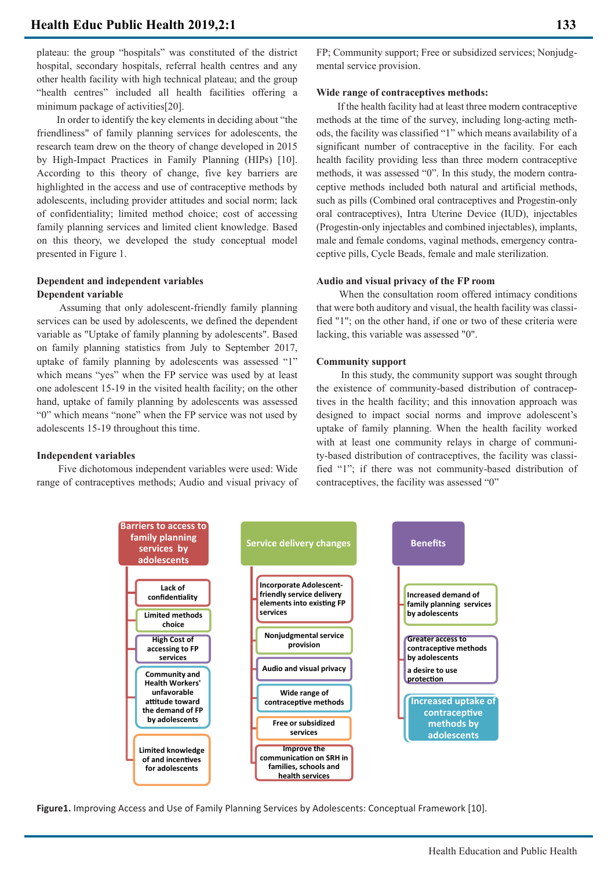plateau: the group "hospitals" was constituted of the district hospital, secondary hospitals, referral health centres and any other health facility with high technical plateau; and the group "health centres" included all health facilities offering a minimum package of activities[20].

 In order to identify the key elements in deciding about "the friendliness" of family planning services for adolescents, the research team drew on the theory of change developed in 2015 by High-Impact Practices in Family Planning (HIPs) [10]. According to this theory of change, five key barriers are highlighted in the access and use of contraceptive methods by adolescents, including provider attitudes and social norm; lack of confidentiality; limited method choice; cost of accessing family planning services and limited client knowledge. Based on this theory, we developed the study conceptual model presented in Figure 1.

# **Dependent and independent variables Dependent variable**

 Assuming that only adolescent-friendly family planning services can be used by adolescents, we defined the dependent variable as "Uptake of family planning by adolescents". Based on family planning statistics from July to September 2017, uptake of family planning by adolescents was assessed "1" which means "yes" when the FP service was used by at least one adolescent 15-19 in the visited health facility; on the other hand, uptake of family planning by adolescents was assessed "0" which means "none" when the FP service was not used by adolescents 15-19 throughout this time.

### **Independent variables**

 Five dichotomous independent variables were used: Wide range of contraceptives methods; Audio and visual privacy of FP; Community support; Free or subsidized services; Nonjudgmental service provision.

## **Wide range of contraceptives methods:**

 If the health facility had at least three modern contraceptive methods at the time of the survey, including long-acting methods, the facility was classified "1" which means availability of a significant number of contraceptive in the facility. For each health facility providing less than three modern contraceptive methods, it was assessed "0". In this study, the modern contraceptive methods included both natural and artificial methods, such as pills (Combined oral contraceptives and Progestin-only oral contraceptives), Intra Uterine Device (IUD), injectables (Progestin-only injectables and combined injectables), implants, male and female condoms, vaginal methods, emergency contraceptive pills, Cycle Beads, female and male sterilization.

## **Audio and visual privacy of the FP room**

 When the consultation room offered intimacy conditions that were both auditory and visual, the health facility was classified "1"; on the other hand, if one or two of these criteria were lacking, this variable was assessed "0".

## **Community support**

 In this study, the community support was sought through the existence of community-based distribution of contraceptives in the health facility; and this innovation approach was designed to impact social norms and improve adolescent's uptake of family planning. When the health facility worked with at least one community relays in charge of community-based distribution of contraceptives, the facility was classified "1"; if there was not community-based distribution of contraceptives, the facility was assessed "0"



**Figure1.** Improving Access and Use of Family Planning Services by Adolescents: Conceptual Framework [10].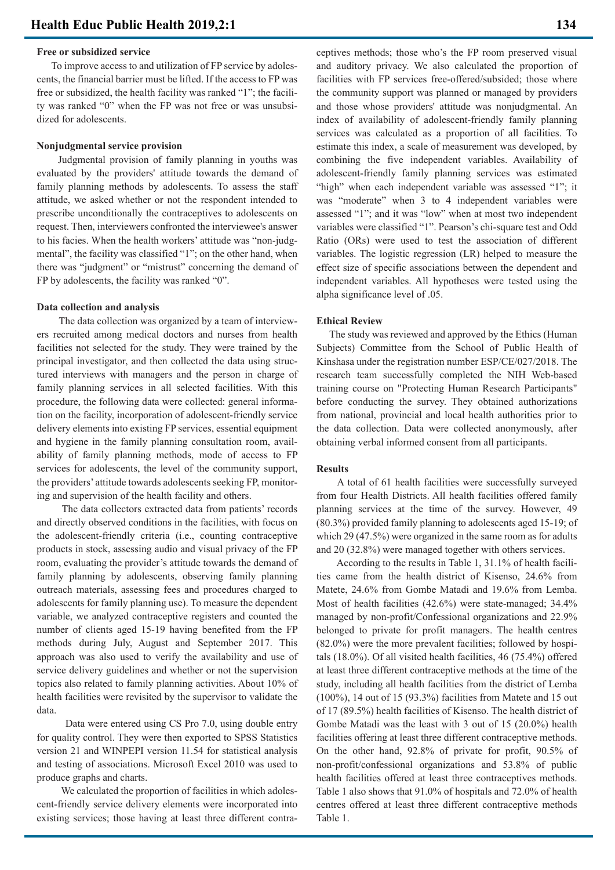## **Free or subsidized service**

 To improve access to and utilization of FP service by adolescents, the financial barrier must be lifted. If the access to FP was free or subsidized, the health facility was ranked "1"; the facility was ranked "0" when the FP was not free or was unsubsidized for adolescents.

#### **Nonjudgmental service provision**

 Judgmental provision of family planning in youths was evaluated by the providers' attitude towards the demand of family planning methods by adolescents. To assess the staff attitude, we asked whether or not the respondent intended to prescribe unconditionally the contraceptives to adolescents on request. Then, interviewers confronted the interviewee's answer to his facies. When the health workers' attitude was "non-judgmental", the facility was classified "1"; on the other hand, when there was "judgment" or "mistrust" concerning the demand of FP by adolescents, the facility was ranked "0".

#### **Data collection and analysis**

 The data collection was organized by a team of interviewers recruited among medical doctors and nurses from health facilities not selected for the study. They were trained by the principal investigator, and then collected the data using structured interviews with managers and the person in charge of family planning services in all selected facilities. With this procedure, the following data were collected: general information on the facility, incorporation of adolescent-friendly service delivery elements into existing FP services, essential equipment and hygiene in the family planning consultation room, availability of family planning methods, mode of access to FP services for adolescents, the level of the community support, the providers' attitude towards adolescents seeking FP, monitoring and supervision of the health facility and others.

 The data collectors extracted data from patients' records and directly observed conditions in the facilities, with focus on the adolescent-friendly criteria (i.e., counting contraceptive products in stock, assessing audio and visual privacy of the FP room, evaluating the provider's attitude towards the demand of family planning by adolescents, observing family planning outreach materials, assessing fees and procedures charged to adolescents for family planning use). To measure the dependent variable, we analyzed contraceptive registers and counted the number of clients aged 15-19 having benefited from the FP methods during July, August and September 2017. This approach was also used to verify the availability and use of service delivery guidelines and whether or not the supervision topics also related to family planning activities. About 10% of health facilities were revisited by the supervisor to validate the data.

 Data were entered using CS Pro 7.0, using double entry for quality control. They were then exported to SPSS Statistics version 21 and WINPEPI version 11.54 for statistical analysis and testing of associations. Microsoft Excel 2010 was used to produce graphs and charts.

 We calculated the proportion of facilities in which adolescent-friendly service delivery elements were incorporated into existing services; those having at least three different contraceptives methods; those who's the FP room preserved visual and auditory privacy. We also calculated the proportion of facilities with FP services free-offered/subsided; those where the community support was planned or managed by providers and those whose providers' attitude was nonjudgmental. An index of availability of adolescent-friendly family planning services was calculated as a proportion of all facilities. To estimate this index, a scale of measurement was developed, by combining the five independent variables. Availability of adolescent-friendly family planning services was estimated "high" when each independent variable was assessed "1"; it was "moderate" when 3 to 4 independent variables were assessed "1"; and it was "low" when at most two independent variables were classified "1". Pearson's chi-square test and Odd Ratio (ORs) were used to test the association of different variables. The logistic regression (LR) helped to measure the effect size of specific associations between the dependent and independent variables. All hypotheses were tested using the alpha significance level of .05.

#### **Ethical Review**

 The study was reviewed and approved by the Ethics (Human Subjects) Committee from the School of Public Health of Kinshasa under the registration number ESP/CE/027/2018. The research team successfully completed the NIH Web-based training course on "Protecting Human Research Participants" before conducting the survey. They obtained authorizations from national, provincial and local health authorities prior to the data collection. Data were collected anonymously, after obtaining verbal informed consent from all participants.

#### **Results**

 A total of 61 health facilities were successfully surveyed from four Health Districts. All health facilities offered family planning services at the time of the survey. However, 49 (80.3%) provided family planning to adolescents aged 15-19; of which 29 (47.5%) were organized in the same room as for adults and 20 (32.8%) were managed together with others services.

 According to the results in Table 1, 31.1% of health facilities came from the health district of Kisenso, 24.6% from Matete, 24.6% from Gombe Matadi and 19.6% from Lemba. Most of health facilities (42.6%) were state-managed; 34.4% managed by non-profit/Confessional organizations and 22.9% belonged to private for profit managers. The health centres (82.0%) were the more prevalent facilities; followed by hospitals (18.0%). Of all visited health facilities, 46 (75.4%) offered at least three different contraceptive methods at the time of the study, including all health facilities from the district of Lemba (100%), 14 out of 15 (93.3%) facilities from Matete and 15 out of 17 (89.5%) health facilities of Kisenso. The health district of Gombe Matadi was the least with 3 out of 15 (20.0%) health facilities offering at least three different contraceptive methods. On the other hand, 92.8% of private for profit, 90.5% of non-profit/confessional organizations and 53.8% of public health facilities offered at least three contraceptives methods. Table 1 also shows that 91.0% of hospitals and 72.0% of health centres offered at least three different contraceptive methods Table 1.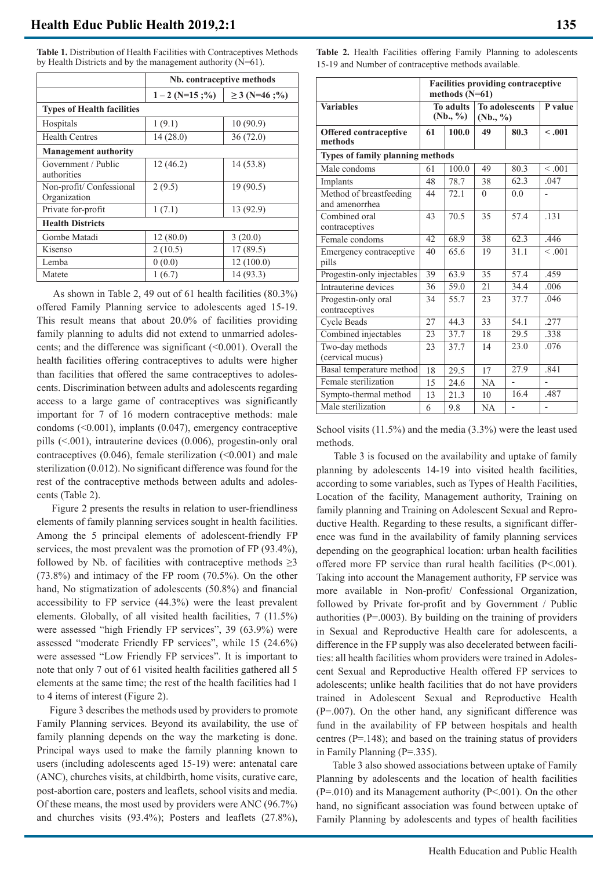| Table 1. Distribution of Health Facilities with Contraceptives Methods |
|------------------------------------------------------------------------|
| by Health Districts and by the management authority $(N=61)$ .         |

|                                          | Nb. contraceptive methods |                        |  |  |  |  |  |
|------------------------------------------|---------------------------|------------------------|--|--|--|--|--|
|                                          | $1 - 2$ (N=15;%)          | $\geq$ 3 (N=46;%)      |  |  |  |  |  |
| <b>Types of Health facilities</b>        |                           |                        |  |  |  |  |  |
| Hospitals                                | 1(9.1)                    | 10(90.9)               |  |  |  |  |  |
| <b>Health Centres</b>                    | 14(28.0)                  | 36(72.0)               |  |  |  |  |  |
| <b>Management authority</b>              |                           |                        |  |  |  |  |  |
| Government / Public<br>authorities       | 12(46.2)                  | 14(53.8)               |  |  |  |  |  |
| Non-profit/ Confessional<br>Organization | 2(9.5)                    | $\overline{19}$ (90.5) |  |  |  |  |  |
| Private for-profit                       | 1(7.1)                    | 13 (92.9)              |  |  |  |  |  |
| <b>Health Districts</b>                  |                           |                        |  |  |  |  |  |
| Gombe Matadi                             | 12(80.0)                  | 3(20.0)                |  |  |  |  |  |
| Kisenso                                  | 2(10.5)                   | 17(89.5)               |  |  |  |  |  |
| Lemba                                    | 0(0.0)                    | 12(100.0)              |  |  |  |  |  |
| Matete                                   | 1(6.7)                    | 14(93.3)               |  |  |  |  |  |

 As shown in Table 2, 49 out of 61 health facilities (80.3%) offered Family Planning service to adolescents aged 15-19. This result means that about 20.0% of facilities providing family planning to adults did not extend to unmarried adolescents; and the difference was significant  $( $0.001$ ). Overall the$ health facilities offering contraceptives to adults were higher than facilities that offered the same contraceptives to adolescents. Discrimination between adults and adolescents regarding access to a large game of contraceptives was significantly important for 7 of 16 modern contraceptive methods: male condoms (<0.001), implants (0.047), emergency contraceptive pills (<.001), intrauterine devices (0.006), progestin-only oral contraceptives  $(0.046)$ , female sterilization  $(0.001)$  and male sterilization (0.012). No significant difference was found for the rest of the contraceptive methods between adults and adolescents (Table 2).

 Figure 2 presents the results in relation to user-friendliness elements of family planning services sought in health facilities. Among the 5 principal elements of adolescent-friendly FP services, the most prevalent was the promotion of FP (93.4%), followed by Nb. of facilities with contraceptive methods  $\geq 3$ (73.8%) and intimacy of the FP room (70.5%). On the other hand, No stigmatization of adolescents (50.8%) and financial accessibility to FP service (44.3%) were the least prevalent elements. Globally, of all visited health facilities, 7 (11.5%) were assessed "high Friendly FP services", 39 (63.9%) were assessed "moderate Friendly FP services", while 15 (24.6%) were assessed "Low Friendly FP services". It is important to note that only 7 out of 61 visited health facilities gathered all 5 elements at the same time; the rest of the health facilities had 1 to 4 items of interest (Figure 2).

 Figure 3 describes the methods used by providers to promote Family Planning services. Beyond its availability, the use of family planning depends on the way the marketing is done. Principal ways used to make the family planning known to users (including adolescents aged 15-19) were: antenatal care (ANC), churches visits, at childbirth, home visits, curative care, post-abortion care, posters and leaflets, school visits and media. Of these means, the most used by providers were ANC (96.7%) and churches visits (93.4%); Posters and leaflets (27.8%),

**Table 2.** Health Facilities offering Family Planning to adolescents 15-19 and Number of contraceptive methods available.

|                                           | <b>Facilities providing contraceptive</b><br>methods $(N=61)$ |                              |                                   |                |         |
|-------------------------------------------|---------------------------------------------------------------|------------------------------|-----------------------------------|----------------|---------|
| <b>Variables</b>                          |                                                               | <b>To adults</b><br>(Nb., %) | <b>To adolescents</b><br>(Nb., %) | P value        |         |
| <b>Offered contraceptive</b><br>methods   | 61<br>100.0                                                   |                              | 49                                | 80.3           | < .001  |
| Types of family planning methods          |                                                               |                              |                                   |                |         |
| Male condoms                              | 61                                                            | 100.0                        | 49                                | 80.3           | < 0.001 |
| Implants                                  | 48                                                            | 78.7                         | 38                                | 62.3           | .047    |
| Method of breastfeeding<br>and amenorrhea | 44                                                            | 72.1                         | $\overline{0}$                    | 0.0            |         |
| Combined oral<br>contraceptives           | 43                                                            | 70.5                         | 35                                | 57.4           | .131    |
| Female condoms                            | $\overline{42}$                                               | 68.9                         | 38                                | 62.3           | .446    |
| Emergency contraceptive<br>pills          | 40                                                            | 65.6                         | 19                                | 31.1           | < 0.01  |
| Progestin-only injectables                | 39                                                            | 63.9                         | 35                                | 57.4           | .459    |
| Intrauterine devices                      | 36                                                            | 59.0                         | 21                                | 34.4           | .006    |
| Progestin-only oral<br>contraceptives     | 34                                                            | 55.7                         | 23                                | 37.7           | .046    |
| <b>Cycle Beads</b>                        | $\overline{27}$                                               | 44.3                         | 33                                | 54.1           | .277    |
| Combined injectables                      | 23                                                            | 37.7                         | 18                                | 29.5           | .338    |
| Two-day methods<br>(cervical mucus)       | 23                                                            | 37.7                         | 14                                | 23.0           | .076    |
| Basal temperature method                  | 18                                                            | 29.5                         | 17                                | 27.9           | .841    |
| Female sterilization                      | 15                                                            | 24.6                         | NA                                |                |         |
| Sympto-thermal method                     | 13                                                            | 21.3                         | 10                                | 16.4           | .487    |
| Male sterilization                        | 6                                                             | 9.8                          | NA                                | $\overline{a}$ |         |

School visits (11.5%) and the media (3.3%) were the least used methods.

 Table 3 is focused on the availability and uptake of family planning by adolescents 14-19 into visited health facilities, according to some variables, such as Types of Health Facilities, Location of the facility, Management authority, Training on family planning and Training on Adolescent Sexual and Reproductive Health. Regarding to these results, a significant difference was fund in the availability of family planning services depending on the geographical location: urban health facilities offered more FP service than rural health facilities (P<.001). Taking into account the Management authority, FP service was more available in Non-profit/ Confessional Organization, followed by Private for-profit and by Government / Public authorities (P=.0003). By building on the training of providers in Sexual and Reproductive Health care for adolescents, a difference in the FP supply was also decelerated between facilities: all health facilities whom providers were trained in Adolescent Sexual and Reproductive Health offered FP services to adolescents; unlike health facilities that do not have providers trained in Adolescent Sexual and Reproductive Health (P=.007). On the other hand, any significant difference was fund in the availability of FP between hospitals and health centres (P=.148); and based on the training status of providers in Family Planning (P=.335).

 Table 3 also showed associations between uptake of Family Planning by adolescents and the location of health facilities (P=.010) and its Management authority (P<.001). On the other hand, no significant association was found between uptake of Family Planning by adolescents and types of health facilities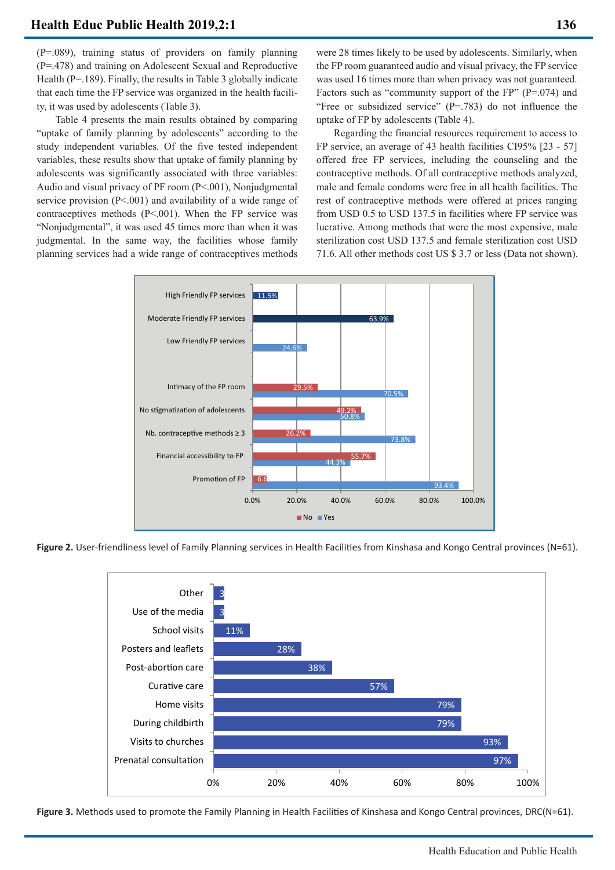(P=.089), training status of providers on family planning (P=.478) and training on Adolescent Sexual and Reproductive Health (P=.189). Finally, the results in Table 3 globally indicate that each time the FP service was organized in the health facility, it was used by adolescents (Table 3).

 Table 4 presents the main results obtained by comparing "uptake of family planning by adolescents" according to the study independent variables. Of the five tested independent variables, these results show that uptake of family planning by adolescents was significantly associated with three variables: Audio and visual privacy of PF room (P<.001), Nonjudgmental service provision (P<.001) and availability of a wide range of contraceptives methods (P<.001). When the FP service was "Nonjudgmental", it was used 45 times more than when it was judgmental. In the same way, the facilities whose family planning services had a wide range of contraceptives methods

were 28 times likely to be used by adolescents. Similarly, when the FP room guaranteed audio and visual privacy, the FP service was used 16 times more than when privacy was not guaranteed. Factors such as "community support of the FP" (P=.074) and "Free or subsidized service" (P=.783) do not influence the uptake of FP by adolescents (Table 4).

 Regarding the financial resources requirement to access to FP service, an average of 43 health facilities CI95% [23 - 57] offered free FP services, including the counseling and the contraceptive methods. Of all contraceptive methods analyzed, male and female condoms were free in all health facilities. The rest of contraceptive methods were offered at prices ranging from USD 0.5 to USD 137.5 in facilities where FP service was lucrative. Among methods that were the most expensive, male sterilization cost USD 137.5 and female sterilization cost USD 71.6. All other methods cost US \$ 3.7 or less (Data not shown).



Figure 2. User-friendliness level of Family Planning services in Health Facilities from Kinshasa and Kongo Central provinces (N=61).



Figure 3. Methods used to promote the Family Planning in Health Facilities of Kinshasa and Kongo Central provinces, DRC(N=61).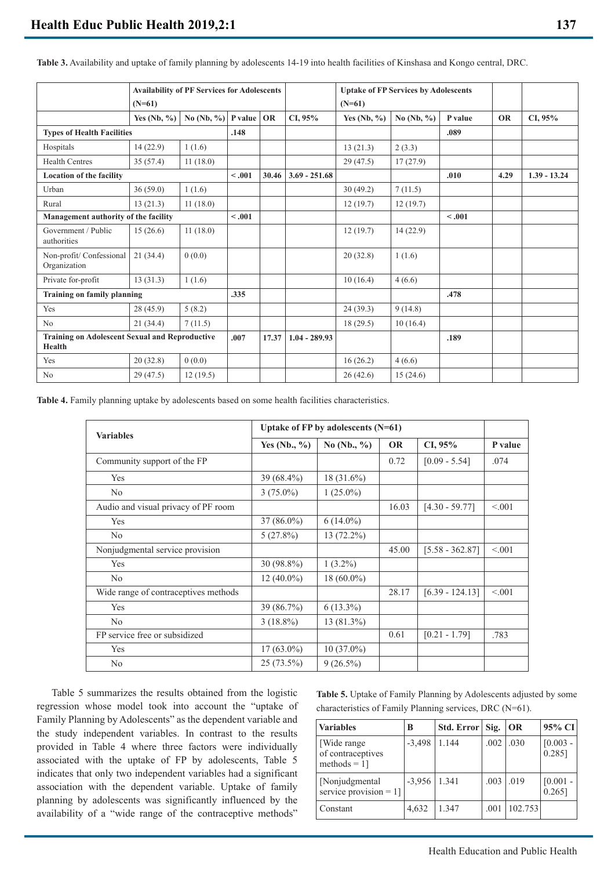|                                                          | <b>Availability of PF Services for Adolescents</b><br>$(N=61)$ |                               | <b>Uptake of FP Services by Adolescents</b><br>$(N=61)$ |                 |                 |              |             |         |           |                |
|----------------------------------------------------------|----------------------------------------------------------------|-------------------------------|---------------------------------------------------------|-----------------|-----------------|--------------|-------------|---------|-----------|----------------|
|                                                          | Yes $(Nb, %$                                                   | No (Nb, $\%$ )   P value   OR |                                                         |                 | CI, 95%         | Yes $(Nb, %$ | No $(Nb, %$ | P value | <b>OR</b> | CI, 95%        |
| <b>Types of Health Facilities</b>                        |                                                                | .148                          |                                                         |                 |                 |              | .089        |         |           |                |
| Hospitals                                                | 14(22.9)                                                       | 1(1.6)                        |                                                         |                 |                 | 13(21.3)     | 2(3.3)      |         |           |                |
| <b>Health Centres</b>                                    | 35(57.4)                                                       | 11(18.0)                      |                                                         |                 |                 | 29(47.5)     | 17(27.9)    |         |           |                |
| <b>Location of the facility</b>                          |                                                                |                               | < .001                                                  | 30.46           | $3.69 - 251.68$ |              |             | .010    | 4.29      | $1.39 - 13.24$ |
| Urban                                                    | 36(59.0)                                                       | 1(1.6)                        |                                                         |                 |                 | 30(49.2)     | 7(11.5)     |         |           |                |
| Rural                                                    | 13(21.3)                                                       | 11(18.0)                      |                                                         |                 |                 | 12(19.7)     | 12(19.7)    |         |           |                |
| Management authority of the facility                     |                                                                |                               | $-.001$                                                 |                 |                 |              |             | $-.001$ |           |                |
| Government / Public<br>authorities                       | 15(26.6)                                                       | 11(18.0)                      |                                                         |                 |                 | 12(19.7)     | 14 (22.9)   |         |           |                |
| Non-profit/ Confessional<br>Organization                 | 21(34.4)                                                       | 0(0.0)                        |                                                         |                 |                 | 20(32.8)     | 1(1.6)      |         |           |                |
| Private for-profit                                       | 13(31.3)                                                       | 1(1.6)                        |                                                         |                 |                 | 10(16.4)     | 4(6.6)      |         |           |                |
| <b>Training on family planning</b>                       |                                                                |                               | .335                                                    |                 |                 |              |             | .478    |           |                |
| Yes                                                      | 28(45.9)                                                       | 5(8.2)                        |                                                         |                 |                 | 24(39.3)     | 9(14.8)     |         |           |                |
| N <sub>o</sub>                                           | 21(34.4)                                                       | 7(11.5)                       |                                                         |                 |                 | 18(29.5)     | 10(16.4)    |         |           |                |
| Training on Adolescent Sexual and Reproductive<br>Health |                                                                | .007                          | 17.37                                                   | $1.04 - 289.93$ |                 |              | .189        |         |           |                |
| Yes                                                      | 20(32.8)                                                       | 0(0.0)                        |                                                         |                 |                 | 16(26.2)     | 4(6.6)      |         |           |                |
| N <sub>o</sub>                                           | 29(47.5)                                                       | 12(19.5)                      |                                                         |                 |                 | 26(42.6)     | 15(24.6)    |         |           |                |

**Table 3.** Availability and uptake of family planning by adolescents 14-19 into health facilities of Kinshasa and Kongo central, DRC.

**Table 4.** Family planning uptake by adolescents based on some health facilities characteristics.

| <b>Variables</b>                     | Uptake of FP by adolescents $(N=61)$ |               |           |                   |         |  |
|--------------------------------------|--------------------------------------|---------------|-----------|-------------------|---------|--|
|                                      | Yes $(Nb., %)$                       | No $(Nb., %)$ | <b>OR</b> | CI, 95%           | P value |  |
| Community support of the FP          |                                      |               | 0.72      | $[0.09 - 5.54]$   | .074    |  |
| <b>Yes</b>                           | 39 (68.4%)                           | 18 (31.6%)    |           |                   |         |  |
| N <sub>o</sub>                       | $3(75.0\%)$                          | $1(25.0\%)$   |           |                   |         |  |
| Audio and visual privacy of PF room  |                                      |               | 16.03     | $[4.30 - 59.77]$  | < 0.01  |  |
| <b>Yes</b>                           | $37(86.0\%)$                         | $6(14.0\%)$   |           |                   |         |  |
| N <sub>o</sub>                       | 5(27.8%)                             | 13 (72.2%)    |           |                   |         |  |
| Nonjudgmental service provision      |                                      |               | 45.00     | $[5.58 - 362.87]$ | < 0.01  |  |
| Yes                                  | 30 (98.8%)                           | $1(3.2\%)$    |           |                   |         |  |
| N <sub>0</sub>                       | $12(40.0\%)$                         | $18(60.0\%)$  |           |                   |         |  |
| Wide range of contraceptives methods |                                      |               | 28.17     | $[6.39 - 124.13]$ | < 0.01  |  |
| Yes                                  | 39 (86.7%)                           | $6(13.3\%)$   |           |                   |         |  |
| N <sub>o</sub>                       | $3(18.8\%)$                          | 13 (81.3%)    |           |                   |         |  |
| FP service free or subsidized        |                                      |               | 0.61      | $[0.21 - 1.79]$   | .783    |  |
| Yes                                  | $17(63.0\%)$                         | $10(37.0\%)$  |           |                   |         |  |
| N <sub>o</sub>                       | 25 (73.5%)                           | $9(26.5\%)$   |           |                   |         |  |

 Table 5 summarizes the results obtained from the logistic regression whose model took into account the "uptake of Family Planning by Adolescents" as the dependent variable and the study independent variables. In contrast to the results provided in Table 4 where three factors were individually associated with the uptake of FP by adolescents, Table 5 indicates that only two independent variables had a significant association with the dependent variable. Uptake of family planning by adolescents was significantly influenced by the availability of a "wide range of the contraceptive methods"

**Table 5.** Uptake of Family Planning by Adolescents adjusted by some characteristics of Family Planning services, DRC (N=61).

| <b>Variables</b>                                    | B        | Std. Error | Sig. | <b>OR</b> | 95% CI                  |
|-----------------------------------------------------|----------|------------|------|-----------|-------------------------|
| [Wide range<br>of contraceptives<br>methods $= 1$ ] | $-3,498$ | 1.144      | .002 | .030      | $[0.003 -$<br>$0.285$ ] |
| [Nonjudgmental]<br>service provision $= 1$ ]        | $-3,956$ | 1.341      | .003 | .019      | $[0.001 -$<br>$0.265$ ] |
| Constant                                            | 4,632    | 1.347      | .001 | 102.753   |                         |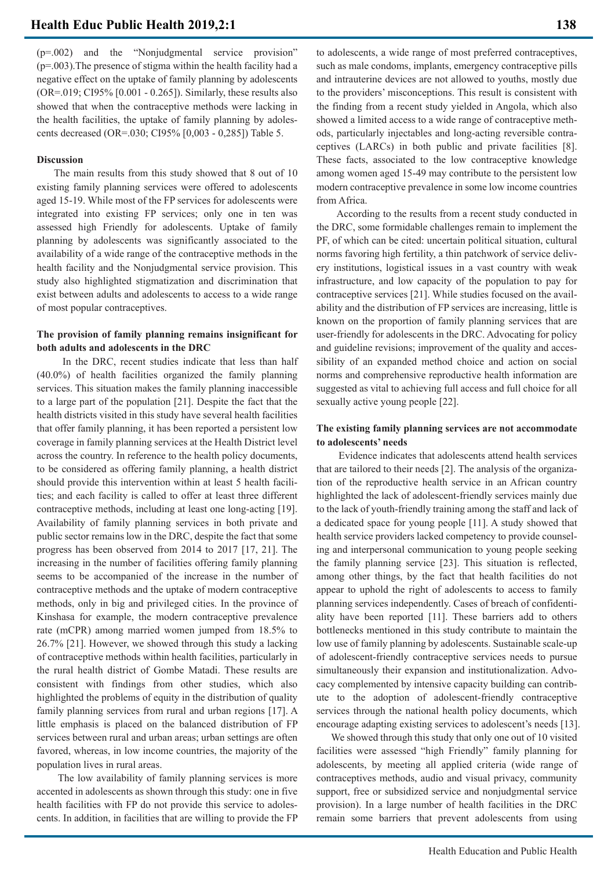(p=.002) and the "Nonjudgmental service provision"  $(p=.003)$ . The presence of stigma within the health facility had a negative effect on the uptake of family planning by adolescents (OR=.019; CI95% [0.001 - 0.265]). Similarly, these results also showed that when the contraceptive methods were lacking in the health facilities, the uptake of family planning by adolescents decreased (OR=.030; CI95% [0,003 - 0,285]) Table 5.

## **Discussion**

 The main results from this study showed that 8 out of 10 existing family planning services were offered to adolescents aged 15-19. While most of the FP services for adolescents were integrated into existing FP services; only one in ten was assessed high Friendly for adolescents. Uptake of family planning by adolescents was significantly associated to the availability of a wide range of the contraceptive methods in the health facility and the Nonjudgmental service provision. This study also highlighted stigmatization and discrimination that exist between adults and adolescents to access to a wide range of most popular contraceptives.

# **The provision of family planning remains insignificant for both adults and adolescents in the DRC**

 In the DRC, recent studies indicate that less than half (40.0%) of health facilities organized the family planning services. This situation makes the family planning inaccessible to a large part of the population [21]. Despite the fact that the health districts visited in this study have several health facilities that offer family planning, it has been reported a persistent low coverage in family planning services at the Health District level across the country. In reference to the health policy documents, to be considered as offering family planning, a health district should provide this intervention within at least 5 health facilities; and each facility is called to offer at least three different contraceptive methods, including at least one long-acting [19]. Availability of family planning services in both private and public sector remains low in the DRC, despite the fact that some progress has been observed from 2014 to 2017 [17, 21]. The increasing in the number of facilities offering family planning seems to be accompanied of the increase in the number of contraceptive methods and the uptake of modern contraceptive methods, only in big and privileged cities. In the province of Kinshasa for example, the modern contraceptive prevalence rate (mCPR) among married women jumped from 18.5% to 26.7% [21]. However, we showed through this study a lacking of contraceptive methods within health facilities, particularly in the rural health district of Gombe Matadi. These results are consistent with findings from other studies, which also highlighted the problems of equity in the distribution of quality family planning services from rural and urban regions [17]. A little emphasis is placed on the balanced distribution of FP services between rural and urban areas; urban settings are often favored, whereas, in low income countries, the majority of the population lives in rural areas.

 The low availability of family planning services is more accented in adolescents as shown through this study: one in five health facilities with FP do not provide this service to adolescents. In addition, in facilities that are willing to provide the FP to adolescents, a wide range of most preferred contraceptives, such as male condoms, implants, emergency contraceptive pills and intrauterine devices are not allowed to youths, mostly due to the providers' misconceptions. This result is consistent with the finding from a recent study yielded in Angola, which also showed a limited access to a wide range of contraceptive methods, particularly injectables and long-acting reversible contraceptives (LARCs) in both public and private facilities [8]. These facts, associated to the low contraceptive knowledge among women aged 15-49 may contribute to the persistent low modern contraceptive prevalence in some low income countries from Africa.

 According to the results from a recent study conducted in the DRC, some formidable challenges remain to implement the PF, of which can be cited: uncertain political situation, cultural norms favoring high fertility, a thin patchwork of service delivery institutions, logistical issues in a vast country with weak infrastructure, and low capacity of the population to pay for contraceptive services [21]. While studies focused on the availability and the distribution of FP services are increasing, little is known on the proportion of family planning services that are user-friendly for adolescents in the DRC. Advocating for policy and guideline revisions; improvement of the quality and accessibility of an expanded method choice and action on social norms and comprehensive reproductive health information are suggested as vital to achieving full access and full choice for all sexually active young people [22].

# **The existing family planning services are not accommodate to adolescents' needs**

 Evidence indicates that adolescents attend health services that are tailored to their needs [2]. The analysis of the organization of the reproductive health service in an African country highlighted the lack of adolescent-friendly services mainly due to the lack of youth-friendly training among the staff and lack of a dedicated space for young people [11]. A study showed that health service providers lacked competency to provide counseling and interpersonal communication to young people seeking the family planning service [23]. This situation is reflected, among other things, by the fact that health facilities do not appear to uphold the right of adolescents to access to family planning services independently. Cases of breach of confidentiality have been reported [11]. These barriers add to others bottlenecks mentioned in this study contribute to maintain the low use of family planning by adolescents. Sustainable scale-up of adolescent-friendly contraceptive services needs to pursue simultaneously their expansion and institutionalization. Advocacy complemented by intensive capacity building can contribute to the adoption of adolescent-friendly contraceptive services through the national health policy documents, which encourage adapting existing services to adolescent's needs [13].

 We showed through this study that only one out of 10 visited facilities were assessed "high Friendly" family planning for adolescents, by meeting all applied criteria (wide range of contraceptives methods, audio and visual privacy, community support, free or subsidized service and nonjudgmental service provision). In a large number of health facilities in the DRC remain some barriers that prevent adolescents from using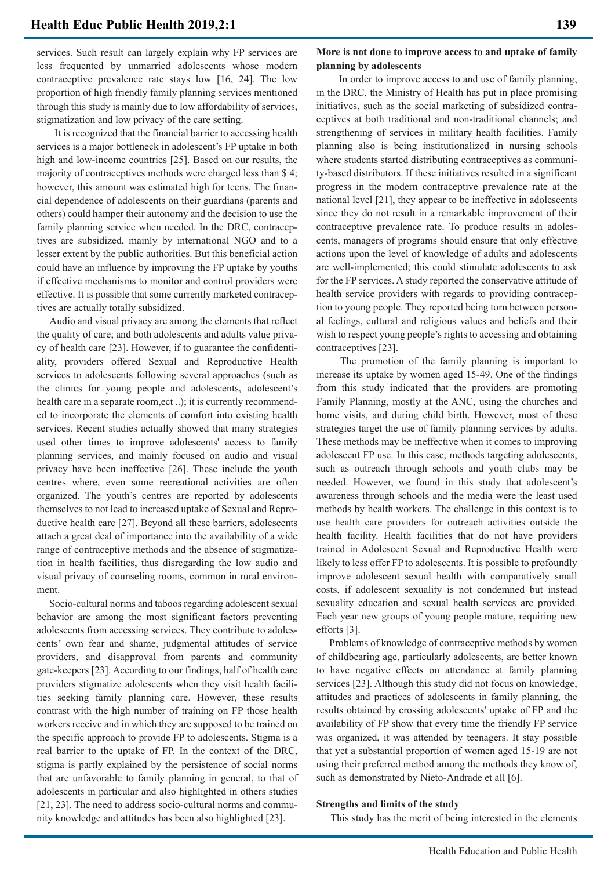services. Such result can largely explain why FP services are less frequented by unmarried adolescents whose modern contraceptive prevalence rate stays low [16, 24]. The low proportion of high friendly family planning services mentioned through this study is mainly due to low affordability of services, stigmatization and low privacy of the care setting.

 It is recognized that the financial barrier to accessing health services is a major bottleneck in adolescent's FP uptake in both high and low-income countries [25]. Based on our results, the majority of contraceptives methods were charged less than \$ 4; however, this amount was estimated high for teens. The financial dependence of adolescents on their guardians (parents and others) could hamper their autonomy and the decision to use the family planning service when needed. In the DRC, contraceptives are subsidized, mainly by international NGO and to a lesser extent by the public authorities. But this beneficial action could have an influence by improving the FP uptake by youths if effective mechanisms to monitor and control providers were effective. It is possible that some currently marketed contraceptives are actually totally subsidized.

 Audio and visual privacy are among the elements that reflect the quality of care; and both adolescents and adults value privacy of health care [23]. However, if to guarantee the confidentiality, providers offered Sexual and Reproductive Health services to adolescents following several approaches (such as the clinics for young people and adolescents, adolescent's health care in a separate room,ect ..); it is currently recommended to incorporate the elements of comfort into existing health services. Recent studies actually showed that many strategies used other times to improve adolescents' access to family planning services, and mainly focused on audio and visual privacy have been ineffective [26]. These include the youth centres where, even some recreational activities are often organized. The youth's centres are reported by adolescents themselves to not lead to increased uptake of Sexual and Reproductive health care [27]. Beyond all these barriers, adolescents attach a great deal of importance into the availability of a wide range of contraceptive methods and the absence of stigmatization in health facilities, thus disregarding the low audio and visual privacy of counseling rooms, common in rural environment.

 Socio-cultural norms and taboos regarding adolescent sexual behavior are among the most significant factors preventing adolescents from accessing services. They contribute to adolescents' own fear and shame, judgmental attitudes of service providers, and disapproval from parents and community gate-keepers [23]. According to our findings, half of health care providers stigmatize adolescents when they visit health facilities seeking family planning care. However, these results contrast with the high number of training on FP those health workers receive and in which they are supposed to be trained on the specific approach to provide FP to adolescents. Stigma is a real barrier to the uptake of FP. In the context of the DRC, stigma is partly explained by the persistence of social norms that are unfavorable to family planning in general, to that of adolescents in particular and also highlighted in others studies [21, 23]. The need to address socio-cultural norms and community knowledge and attitudes has been also highlighted [23].

# **More is not done to improve access to and uptake of family planning by adolescents**

 In order to improve access to and use of family planning, in the DRC, the Ministry of Health has put in place promising initiatives, such as the social marketing of subsidized contraceptives at both traditional and non-traditional channels; and strengthening of services in military health facilities. Family planning also is being institutionalized in nursing schools where students started distributing contraceptives as community-based distributors. If these initiatives resulted in a significant progress in the modern contraceptive prevalence rate at the national level [21], they appear to be ineffective in adolescents since they do not result in a remarkable improvement of their contraceptive prevalence rate. To produce results in adolescents, managers of programs should ensure that only effective actions upon the level of knowledge of adults and adolescents are well-implemented; this could stimulate adolescents to ask for the FP services. A study reported the conservative attitude of health service providers with regards to providing contraception to young people. They reported being torn between personal feelings, cultural and religious values and beliefs and their wish to respect young people's rights to accessing and obtaining contraceptives [23].

 The promotion of the family planning is important to increase its uptake by women aged 15-49. One of the findings from this study indicated that the providers are promoting Family Planning, mostly at the ANC, using the churches and home visits, and during child birth. However, most of these strategies target the use of family planning services by adults. These methods may be ineffective when it comes to improving adolescent FP use. In this case, methods targeting adolescents, such as outreach through schools and youth clubs may be needed. However, we found in this study that adolescent's awareness through schools and the media were the least used methods by health workers. The challenge in this context is to use health care providers for outreach activities outside the health facility. Health facilities that do not have providers trained in Adolescent Sexual and Reproductive Health were likely to less offer FP to adolescents. It is possible to profoundly improve adolescent sexual health with comparatively small costs, if adolescent sexuality is not condemned but instead sexuality education and sexual health services are provided. Each year new groups of young people mature, requiring new efforts [3].

 Problems of knowledge of contraceptive methods by women of childbearing age, particularly adolescents, are better known to have negative effects on attendance at family planning services [23]. Although this study did not focus on knowledge, attitudes and practices of adolescents in family planning, the results obtained by crossing adolescents' uptake of FP and the availability of FP show that every time the friendly FP service was organized, it was attended by teenagers. It stay possible that yet a substantial proportion of women aged 15-19 are not using their preferred method among the methods they know of, such as demonstrated by Nieto-Andrade et all [6].

### **Strengths and limits of the study**

This study has the merit of being interested in the elements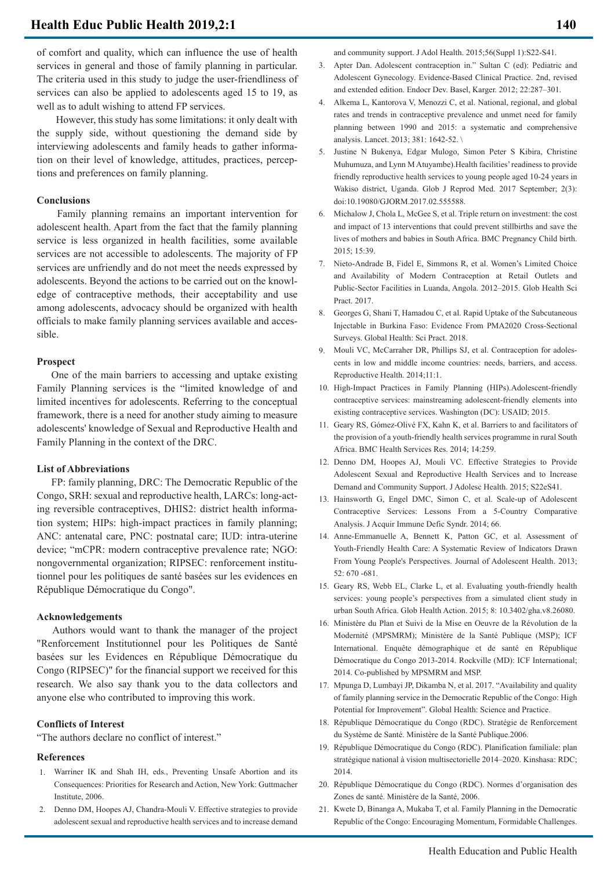of comfort and quality, which can influence the use of health services in general and those of family planning in particular. The criteria used in this study to judge the user-friendliness of services can also be applied to adolescents aged 15 to 19, as well as to adult wishing to attend FP services.

 However, this study has some limitations: it only dealt with the supply side, without questioning the demand side by interviewing adolescents and family heads to gather information on their level of knowledge, attitudes, practices, perceptions and preferences on family planning.

# **Conclusions**

 Family planning remains an important intervention for adolescent health. Apart from the fact that the family planning service is less organized in health facilities, some available services are not accessible to adolescents. The majority of FP services are unfriendly and do not meet the needs expressed by adolescents. Beyond the actions to be carried out on the knowledge of contraceptive methods, their acceptability and use among adolescents, advocacy should be organized with health officials to make family planning services available and accessible.

### **Prospect**

 One of the main barriers to accessing and uptake existing Family Planning services is the "limited knowledge of and limited incentives for adolescents. Referring to the conceptual framework, there is a need for another study aiming to measure adolescents' knowledge of Sexual and Reproductive Health and Family Planning in the context of the DRC.

#### **List of Abbreviations**

 FP: family planning, DRC: The Democratic Republic of the Congo, SRH: sexual and reproductive health, LARCs: long-acting reversible contraceptives, DHIS2: district health information system; HIPs: high-impact practices in family planning; ANC: antenatal care, PNC: postnatal care; IUD: intra-uterine device; "mCPR: modern contraceptive prevalence rate; NGO: nongovernmental organization; RIPSEC: renforcement institutionnel pour les politiques de santé basées sur les evidences en République Démocratique du Congo".

### **Acknowledgements**

 Authors would want to thank the manager of the project "Renforcement Institutionnel pour les Politiques de Santé basées sur les Evidences en République Démocratique du Congo (RIPSEC)" for the financial support we received for this research. We also say thank you to the data collectors and anyone else who contributed to improving this work.

### **Conflicts of Interest**

"The authors declare no conflict of interest."

#### **References**

- Warriner IK and Shah IH, eds., Preventing Unsafe Abortion and its 1. Consequences: Priorities for Research and Action, New York: Guttmacher Institute, 2006.
- 2. Denno DM, Hoopes AJ, Chandra-Mouli V. Effective strategies to provide adolescent sexual and reproductive health services and to increase demand

and community support. J Adol Health. 2015;56(Suppl 1):S22-S41.

- 3. Apter Dan. Adolescent contraception in." Sultan C (ed): Pediatric and Adolescent Gynecology. Evidence-Based Clinical Practice. 2nd, revised and extended edition. Endocr Dev. Basel, Karger. 2012; 22:287–301.
- Alkema L, Kantorova V, Menozzi C, et al. National, regional, and global 4. rates and trends in contraceptive prevalence and unmet need for family planning between 1990 and 2015: a systematic and comprehensive analysis. Lancet. 2013; 381: 1642-52. \
- Justine N Bukenya, Edgar Mulogo, Simon Peter S Kibira, Christine Muhumuza, and Lynn M Atuyambe).Health facilities' readiness to provide friendly reproductive health services to young people aged 10-24 years in Wakiso district, Uganda. Glob J Reprod Med. 2017 September; 2(3): doi:10.19080/GJORM.2017.02.555588. 5.
- 6. Michalow J, Chola L, McGee S, et al. Triple return on investment: the cost and impact of 13 interventions that could prevent stillbirths and save the lives of mothers and babies in South Africa. BMC Pregnancy Child birth. 2015; 15:39.
- Nieto-Andrade B, Fidel E, Simmons R, et al. Women's Limited Choice 7. and Availability of Modern Contraception at Retail Outlets and Public-Sector Facilities in Luanda, Angola. 2012–2015. Glob Health Sci Pract. 2017.
- Georges G, Shani T, Hamadou C, et al. Rapid Uptake of the Subcutaneous 8. Injectable in Burkina Faso: Evidence From PMA2020 Cross-Sectional Surveys. Global Health: Sci Pract. 2018.
- 9. Mouli VC, McCarraher DR, Phillips SJ, et al. Contraception for adolescents in low and middle income countries: needs, barriers, and access. Reproductive Health. 2014;11:1.
- 10. High-Impact Practices in Family Planning (HIPs). Adolescent-friendly contraceptive services: mainstreaming adolescent-friendly elements into existing contraceptive services. Washington (DC): USAID; 2015.
- 11. Geary RS, Gómez-Olivé FX, Kahn K, et al. Barriers to and facilitators of the provision of a youth-friendly health services programme in rural South Africa. BMC Health Services Res. 2014; 14:259.
- 12. Denno DM, Hoopes AJ, Mouli VC. Effective Strategies to Provide Adolescent Sexual and Reproductive Health Services and to Increase Demand and Community Support. J Adolesc Health. 2015; S22eS41.
- 13. Hainsworth G, Engel DMC, Simon C, et al. Scale-up of Adolescent Contraceptive Services: Lessons From a 5-Country Comparative Analysis. J Acquir Immune Defic Syndr. 2014; 66.
- Anne-Emmanuelle A, Bennett K, Patton GC, et al. Assessment of 14. Youth-Friendly Health Care: A Systematic Review of Indicators Drawn From Young People's Perspectives. Journal of Adolescent Health. 2013; 52: 670 -681.
- 15. Geary RS, Webb EL, Clarke L, et al. Evaluating youth-friendly health services: young people's perspectives from a simulated client study in urban South Africa. Glob Health Action. 2015; 8: 10.3402/gha.v8.26080.
- Ministère du Plan et Suivi de la Mise en Oeuvre de la Révolution de la 16. Modernité (MPSMRM); Ministère de la Santé Publique (MSP); ICF International. Enquête démographique et de santé en République Démocratique du Congo 2013-2014. Rockville (MD): ICF International; 2014. Co-published by MPSMRM and MSP.
- 17. Mpunga D, Lumbayi JP, Dikamba N, et al. 2017. "Availability and quality of family planning service in the Democratic Republic of the Congo: High Potential for Improvement". Global Health: Science and Practice.
- 18. République Démocratique du Congo (RDC). Stratégie de Renforcement du Système de Santé. Ministère de la Santé Publique.2006.
- 19. République Démocratique du Congo (RDC). Planification familiale: plan stratégique national à vision multisectorielle 2014–2020. Kinshasa: RDC; 2014.
- 20. République Démocratique du Congo (RDC). Normes d'organisation des Zones de santé. Ministère de la Santé, 2006.
- 21. Kwete D, Binanga A, Mukaba T, et al. Family Planning in the Democratic Republic of the Congo: Encouraging Momentum, Formidable Challenges.

**140**